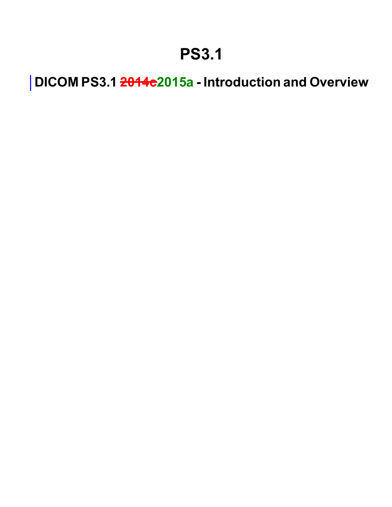### **PS3.1**

**DICOM PS3.1 2014c2015a - Introduction and Overview**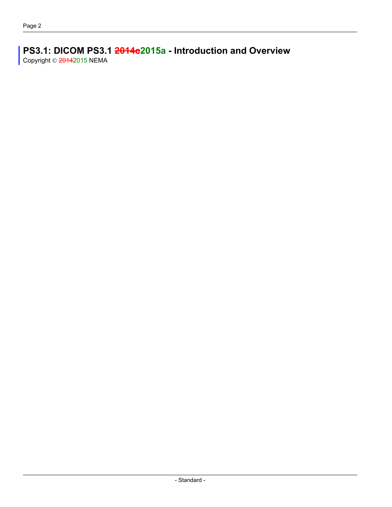#### **PS3.1: DICOM PS3.1 2014c2015a - Introduction and Overview** Copyright © 20142015 NEMA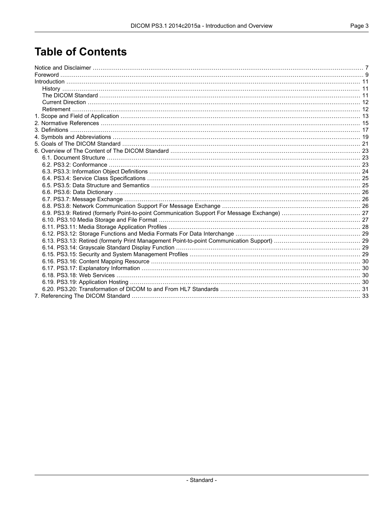### **Table of Contents**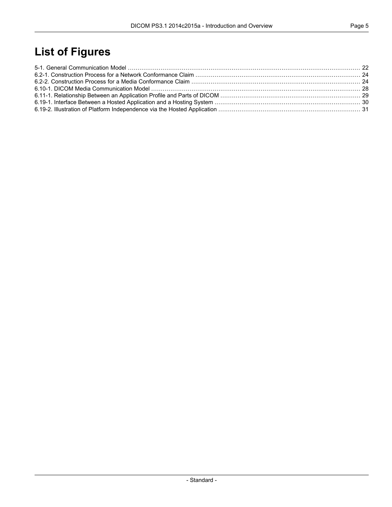### **List of Figures**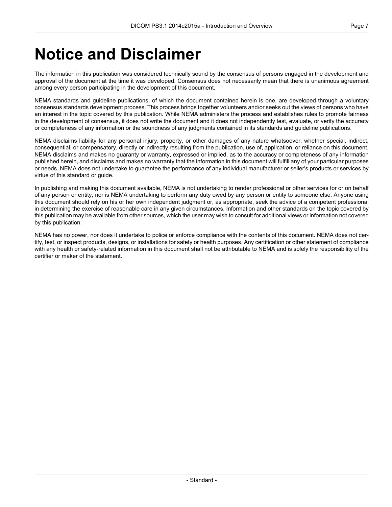### <span id="page-6-0"></span>**Notice and Disclaimer**

The information in this publication was considered technically sound by the consensus of persons engaged in the development and approval of the document at the time it was developed. Consensus does not necessarily mean that there is unanimous agreement among every person participating in the development of this document.

NEMA standards and guideline publications, of which the document contained herein is one, are developed through a voluntary consensus standards development process. This process brings together volunteers and/or seeks out the views of persons who have an interest in the topic covered by this publication. While NEMA administers the process and establishes rules to promote fairness in the development of consensus, it does not write the document and it does not independently test, evaluate, or verify the accuracy or completeness of any information or the soundness of any judgments contained in its standards and guideline publications.

NEMA disclaims liability for any personal injury, property, or other damages of any nature whatsoever, whether special, indirect, consequential, or compensatory, directly or indirectly resulting from the publication, use of, application, or reliance on this document. NEMA disclaims and makes no guaranty or warranty, expressed or implied, as to the accuracy or completeness of any information published herein, and disclaims and makes no warranty that the information in this document will fulfill any of your particular purposes or needs. NEMA does not undertake to guarantee the performance of any individual manufacturer or seller's products or services by virtue of this standard or guide.

In publishing and making this document available, NEMA is not undertaking to render professional or other services for or on behalf of any person or entity, nor is NEMA undertaking to perform any duty owed by any person or entity to someone else. Anyone using this document should rely on his or her own independent judgment or, as appropriate, seek the advice of a competent professional in determining the exercise of reasonable care in any given circumstances. Information and other standards on the topic covered by this publication may be available from other sources, which the user may wish to consult for additional views or information not covered by this publication.

NEMA has no power, nor does it undertake to police or enforce compliance with the contents of this document. NEMA does not certify, test, or inspect products, designs, or installations for safety or health purposes. Any certification or other statement of compliance with any health or safety-related information in this document shall not be attributable to NEMA and is solely the responsibility of the certifier or maker of the statement.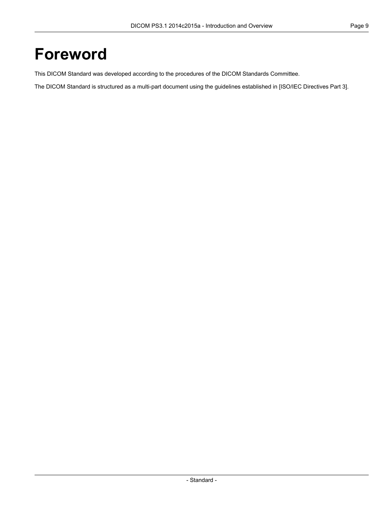### <span id="page-8-0"></span>**Foreword**

This DICOM Standard was developed according to the procedures of the DICOM Standards Committee.

The DICOM Standard is structured as a multi-part document using the guidelines established in [ISO/IEC [Directives](#page-14-1) Part 3].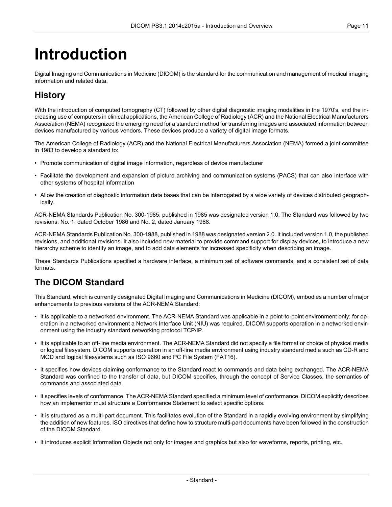# <span id="page-10-0"></span>**Introduction**

<span id="page-10-1"></span>Digital Imaging and Communications in Medicine (DICOM) is the standard for the communication and management of medical imaging information and related data.

### **History**

With the introduction of computed tomography (CT) followed by other digital diagnostic imaging modalities in the 1970's, and the increasing use of computers in clinical applications, the American College of Radiology (ACR) and the National Electrical Manufacturers Association (NEMA) recognized the emerging need for a standard method for transferring images and associated information between devices manufactured by various vendors. These devices produce a variety of digital image formats.

The American College of Radiology (ACR) and the National Electrical Manufacturers Association (NEMA) formed a joint committee in 1983 to develop a standard to:

- Promote communication of digital image information, regardless of device manufacturer
- Facilitate the development and expansion of picture archiving and communication systems (PACS) that can also interface with other systems of hospital information
- Allow the creation of diagnostic information data bases that can be interrogated by a wide variety of devices distributed geographically.

ACR-NEMA Standards Publication No. 300-1985, published in 1985 was designated version 1.0. The Standard was followed by two revisions: No. 1, dated October 1986 and No. 2, dated January 1988.

<span id="page-10-2"></span>ACR-NEMA Standards Publication No. 300-1988, published in 1988 was designated version 2.0. It included version 1.0, the published revisions, and additional revisions. It also included new material to provide command support for display devices, to introduce a new hierarchy scheme to identify an image, and to add data elements for increased specificity when describing an image.

These Standards Publications specified a hardware interface, a minimum set of software commands, and a consistent set of data formats.

#### **The DICOM Standard**

This Standard, which is currently designated Digital Imaging and Communications in Medicine (DICOM), embodies a number of major enhancements to previous versions of the ACR-NEMA Standard:

- It is applicable to a networked environment. The ACR-NEMA Standard was applicable in a point-to-point environment only; for operation in a networked environment a Network Interface Unit (NIU) was required. DICOM supports operation in a networked environment using the industry standard networking protocol TCP/IP.
- It is applicable to an off-line media environment. The ACR-NEMA Standard did not specify a file format or choice of physical media or logical filesystem. DICOM supports operation in an off-line media environment using industry standard media such as CD-R and MOD and logical filesystems such as ISO 9660 and PC File System (FAT16).
- It specifies how devices claiming conformance to the Standard react to commands and data being exchanged. The ACR-NEMA Standard was confined to the transfer of data, but DICOM specifies, through the concept of Service Classes, the semantics of commands and associated data.
- It specifies levels of conformance. The ACR-NEMA Standard specified a minimum level of conformance. DICOM explicitly describes how an implementor must structure a Conformance Statement to select specific options.
- It is structured as a multi-part document. This facilitates evolution of the Standard in a rapidly evolving environment by simplifying the addition of new features. ISO directives that define how to structure multi-part documents have been followed in the construction of the DICOM Standard.
- It introduces explicit Information Objects not only for images and graphics but also for waveforms, reports, printing, etc.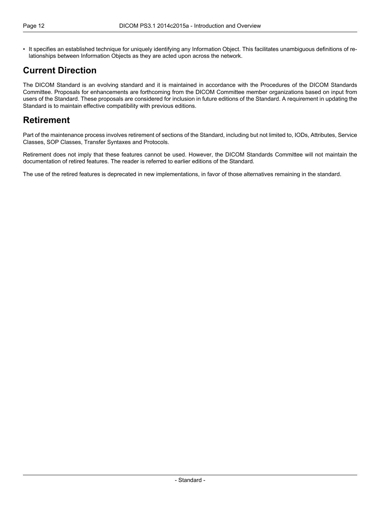• It specifies an established technique for uniquely identifying any Information Object. This facilitates unambiguous definitions of relationships between Information Objects as they are acted upon across the network.

### <span id="page-11-0"></span>**Current Direction**

<span id="page-11-1"></span>The DICOM Standard is an evolving standard and it is maintained in accordance with the Procedures of the DICOM Standards Committee. Proposals for enhancements are forthcoming from the DICOM Committee member organizations based on input from users of the Standard. These proposals are considered for inclusion in future editions of the Standard. A requirement in updating the Standard is to maintain effective compatibility with previous editions.

### **Retirement**

Part of the maintenance process involves retirement of sections of the Standard, including but not limited to, IODs, Attributes, Service Classes, SOP Classes, Transfer Syntaxes and Protocols.

Retirement does not imply that these features cannot be used. However, the DICOM Standards Committee will not maintain the documentation of retired features. The reader is referred to earlier editions of the Standard.

The use of the retired features is deprecated in new implementations, in favor of those alternatives remaining in the standard.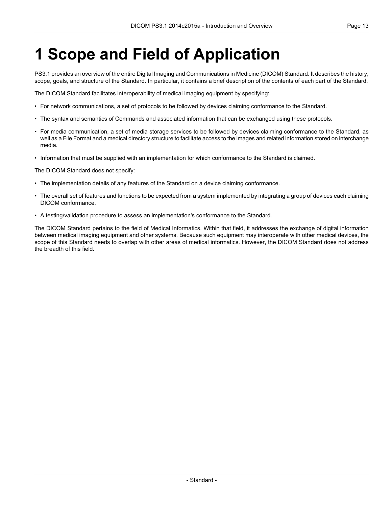# <span id="page-12-0"></span>**1 Scope and Field of Application**

PS3.1 provides an overview of the entire Digital Imaging and Communications in Medicine (DICOM) Standard. It describes the history, scope, goals, and structure of the Standard. In particular, it contains a brief description of the contents of each part of the Standard.

The DICOM Standard facilitates interoperability of medical imaging equipment by specifying:

- For network communications, a set of protocols to be followed by devices claiming conformance to the Standard.
- The syntax and semantics of Commands and associated information that can be exchanged using these protocols.
- For media communication, a set of media storage services to be followed by devices claiming conformance to the Standard, as well as a File Format and a medical directory structure to facilitate access to the images and related information stored on interchange media.
- Information that must be supplied with an implementation for which conformance to the Standard is claimed.

The DICOM Standard does not specify:

- The implementation details of any features of the Standard on a device claiming conformance.
- The overall set of features and functions to be expected from a system implemented by integrating a group of devices each claiming DICOM conformance.
- A testing/validation procedure to assess an implementation's conformance to the Standard.

The DICOM Standard pertains to the field of Medical Informatics. Within that field, it addresses the exchange of digital information between medical imaging equipment and other systems. Because such equipment may interoperate with other medical devices, the scope of this Standard needs to overlap with other areas of medical informatics. However, the DICOM Standard does not address the breadth of this field.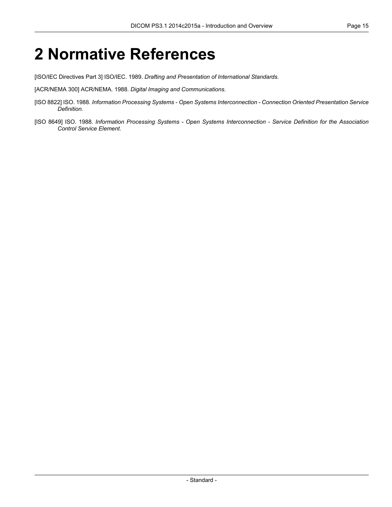### <span id="page-14-0"></span>**2 Normative References**

<span id="page-14-1"></span>[ISO/IEC Directives Part 3] ISO/IEC. 1989. *Drafting and Presentation of International Standards*.

[ACR/NEMA 300] ACR/NEMA. 1988. *Digital Imaging and Communications*.

- [ISO 8822] ISO. 1988. *Information Processing Systems - Open Systems Interconnection - Connection Oriented Presentation Service Definition*.
- [ISO 8649] ISO. 1988. *Information Processing Systems - Open Systems Interconnection - Service Definition for the Association Control Service Element*.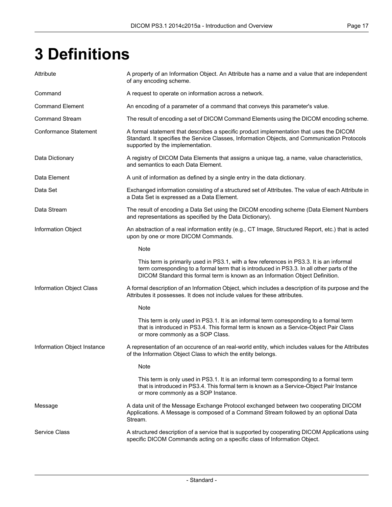# <span id="page-16-0"></span>**3 Definitions**

| Attribute                    | A property of an Information Object. An Attribute has a name and a value that are independent<br>of any encoding scheme.                                                                                                                                               |
|------------------------------|------------------------------------------------------------------------------------------------------------------------------------------------------------------------------------------------------------------------------------------------------------------------|
| Command                      | A request to operate on information across a network.                                                                                                                                                                                                                  |
| <b>Command Element</b>       | An encoding of a parameter of a command that conveys this parameter's value.                                                                                                                                                                                           |
| <b>Command Stream</b>        | The result of encoding a set of DICOM Command Elements using the DICOM encoding scheme.                                                                                                                                                                                |
| <b>Conformance Statement</b> | A formal statement that describes a specific product implementation that uses the DICOM<br>Standard. It specifies the Service Classes, Information Objects, and Communication Protocols<br>supported by the implementation.                                            |
| Data Dictionary              | A registry of DICOM Data Elements that assigns a unique tag, a name, value characteristics,<br>and semantics to each Data Element.                                                                                                                                     |
| Data Element                 | A unit of information as defined by a single entry in the data dictionary.                                                                                                                                                                                             |
| Data Set                     | Exchanged information consisting of a structured set of Attributes. The value of each Attribute in<br>a Data Set is expressed as a Data Element.                                                                                                                       |
| Data Stream                  | The result of encoding a Data Set using the DICOM encoding scheme (Data Element Numbers<br>and representations as specified by the Data Dictionary).                                                                                                                   |
| Information Object           | An abstraction of a real information entity (e.g., CT Image, Structured Report, etc.) that is acted<br>upon by one or more DICOM Commands.                                                                                                                             |
|                              | Note                                                                                                                                                                                                                                                                   |
|                              | This term is primarily used in PS3.1, with a few references in PS3.3. It is an informal<br>term corresponding to a formal term that is introduced in PS3.3. In all other parts of the<br>DICOM Standard this formal term is known as an Information Object Definition. |
| Information Object Class     | A formal description of an Information Object, which includes a description of its purpose and the<br>Attributes it possesses. It does not include values for these attributes.                                                                                        |
|                              | Note                                                                                                                                                                                                                                                                   |
|                              | This term is only used in PS3.1. It is an informal term corresponding to a formal term<br>that is introduced in PS3.4. This formal term is known as a Service-Object Pair Class<br>or more commonly as a SOP Class.                                                    |
| Information Object Instance  | A representation of an occurence of an real-world entity, which includes values for the Attributes<br>of the Information Object Class to which the entity belongs.                                                                                                     |
|                              | Note                                                                                                                                                                                                                                                                   |
|                              | This term is only used in PS3.1. It is an informal term corresponding to a formal term<br>that is introduced in PS3.4. This formal term is known as a Service-Object Pair Instance<br>or more commonly as a SOP Instance.                                              |
| Message                      | A data unit of the Message Exchange Protocol exchanged between two cooperating DICOM<br>Applications. A Message is composed of a Command Stream followed by an optional Data<br>Stream.                                                                                |
| <b>Service Class</b>         | A structured description of a service that is supported by cooperating DICOM Applications using<br>specific DICOM Commands acting on a specific class of Information Object.                                                                                           |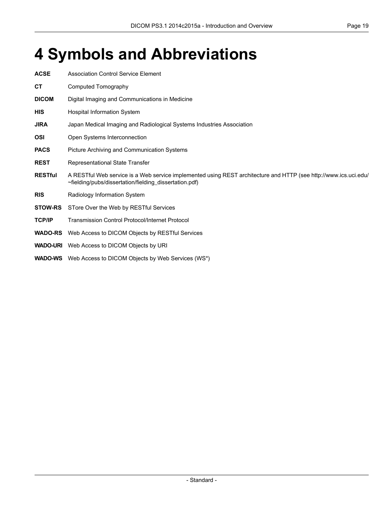# <span id="page-18-0"></span>**4 Symbols and Abbreviations**

| <b>ACSE</b>    | <b>Association Control Service Element</b>                                                                                                                                 |
|----------------|----------------------------------------------------------------------------------------------------------------------------------------------------------------------------|
| СT             | Computed Tomography                                                                                                                                                        |
| <b>DICOM</b>   | Digital Imaging and Communications in Medicine                                                                                                                             |
| <b>HIS</b>     | <b>Hospital Information System</b>                                                                                                                                         |
| <b>JIRA</b>    | Japan Medical Imaging and Radiological Systems Industries Association                                                                                                      |
| <b>OSI</b>     | Open Systems Interconnection                                                                                                                                               |
| <b>PACS</b>    | Picture Archiving and Communication Systems                                                                                                                                |
| <b>REST</b>    | Representational State Transfer                                                                                                                                            |
| <b>RESTful</b> | A RESTful Web service is a Web service implemented using REST architecture and HTTP (see http://www.ics.uci.edu/<br>~fielding/pubs/dissertation/fielding_dissertation.pdf) |
| <b>RIS</b>     | Radiology Information System                                                                                                                                               |
| <b>STOW-RS</b> | STore Over the Web by RESTful Services                                                                                                                                     |
| <b>TCP/IP</b>  | <b>Transmission Control Protocol/Internet Protocol</b>                                                                                                                     |
| <b>WADO-RS</b> | Web Access to DICOM Objects by RESTful Services                                                                                                                            |
|                | <b>WADO-URI</b> Web Access to DICOM Objects by URI                                                                                                                         |
|                | <b>WADO-WS</b> Web Access to DICOM Objects by Web Services (WS*)                                                                                                           |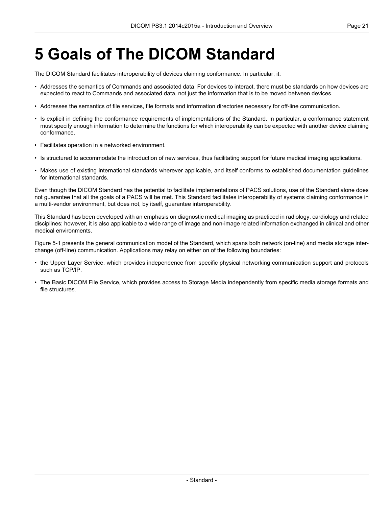### <span id="page-20-0"></span>**5 Goals of The DICOM Standard**

The DICOM Standard facilitates interoperability of devices claiming conformance. In particular, it:

- Addresses the semantics of Commands and associated data. For devices to interact, there must be standards on how devices are expected to react to Commands and associated data, not just the information that is to be moved between devices.
- Addresses the semantics of file services, file formats and information directories necessary for off-line communication.
- Is explicit in defining the conformance requirements of implementations of the Standard. In particular, a conformance statement must specify enough information to determine the functions for which interoperability can be expected with another device claiming conformance.
- Facilitates operation in a networked environment.
- Is structured to accommodate the introduction of new services, thus facilitating support for future medical imaging applications.
- Makes use of existing international standards wherever applicable, and itself conforms to established documentation guidelines for international standards.

Even though the DICOM Standard has the potential to facilitate implementations of PACS solutions, use of the Standard alone does not guarantee that all the goals of a PACS will be met. This Standard facilitates interoperability of systems claiming conformance in a multi-vendor environment, but does not, by itself, guarantee interoperability.

This Standard has been developed with an emphasis on diagnostic medical imaging as practiced in radiology, cardiology and related disciplines; however, it is also applicable to a wide range of image and non-image related information exchanged in clinical and other medical environments.

[Figure](#page-21-0) 5-1 presents the general communication model of the Standard, which spans both network (on-line) and media storage interchange (off-line) communication. Applications may relay on either on of the following boundaries:

- the Upper Layer Service, which provides independence from specific physical networking communication support and protocols such as TCP/IP.
- The Basic DICOM File Service, which provides access to Storage Media independently from specific media storage formats and file structures.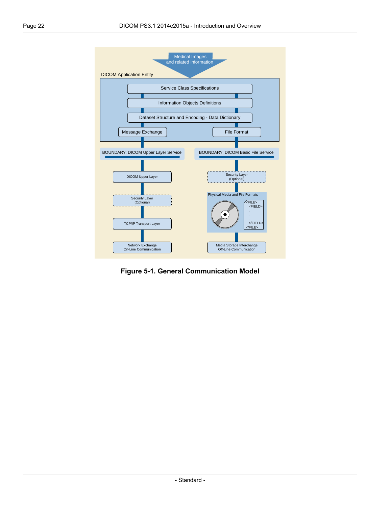<span id="page-21-0"></span>

**Figure 5-1. General Communication Model**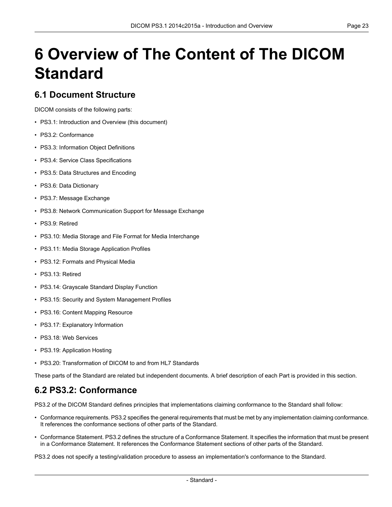# <span id="page-22-0"></span>**6 Overview of The Content of The DICOM Standard**

#### <span id="page-22-1"></span>**6.1 Document Structure**

DICOM consists of the following parts:

- PS3.1: Introduction and Overview (this document)
- PS3.2: [Conformance](part02.pdf#PS3.2)
- PS3.3: [Information](part03.pdf#PS3.3) Object Definitions
- PS3.4: Service Class [Specifications](part04.pdf#PS3.4)
- PS3.5: Data [Structures](part05.pdf#PS3.5) and Encoding
- PS3.6: Data [Dictionary](part06.pdf#PS3.6)
- PS3.7: Message [Exchange](part07.pdf#PS3.7)
- PS3.8: Network [Communication](part08.pdf#PS3.8) Support for Message Exchange
- PS3.9: Retired
- PS3.10: Media Storage and File Format for Media [Interchange](part10.pdf#PS3.10)
- PS3.11: Media Storage [Application](part11.pdf#PS3.11) Profiles
- PS3.12: Formats and [Physical](part12.pdf#PS3.12) Media
- PS3.13: Retired
- PS3.14: [Grayscale](part14.pdf#PS3.14) Standard Display Function
- PS3.15: Security and System [Management](part15.pdf#PS3.15) Profiles
- PS3.16: Content Mapping [Resource](part16.pdf#PS3.16)
- PS3.17: [Explanatory](part17.pdf#PS3.17) Information
- PS3.18: Web [Services](part18.pdf#PS3.18)
- <span id="page-22-2"></span>• PS3.19: [Application](part19.pdf#PS3.19) Hosting
- PS3.20: [Transformation](part20.pdf#PS3.20) of DICOM to and from HL7 Standards

These parts of the Standard are related but independent documents. A brief description of each Part is provided in this section.

#### **6.2 PS3.2: Conformance**

[PS3.2](part02.pdf#PS3.2) of the DICOM Standard defines principles that implementations claiming conformance to the Standard shall follow:

- Conformance requirements. [PS3.2](part02.pdf#PS3.2) specifies the general requirements that must be met by any implementation claiming conformance. It references the conformance sections of other parts of the Standard.
- Conformance Statement. [PS3.2](part02.pdf#PS3.2) defines the structure of a Conformance Statement. It specifies the information that must be present in a Conformance Statement. It references the Conformance Statement sections of other parts of the Standard.

[PS3.2](part02.pdf#PS3.2) does not specify a testing/validation procedure to assess an implementation's conformance to the Standard.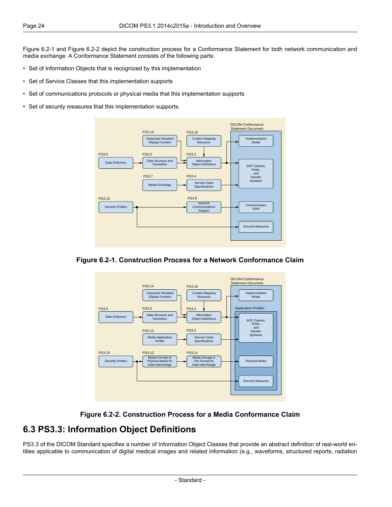[Figure](#page-23-1) 6.2-1 and [Figure](#page-23-2) 6.2-2 depict the construction process for a Conformance Statement for both network communication and media exchange. A Conformance Statement consists of the following parts:

- Set of Information Objects that is recognized by this implementation
- Set of Service Classes that this implementation supports
- Set of communications protocols or physical media that this implementation supports
- <span id="page-23-1"></span>• Set of security measures that this implementation supports.



<span id="page-23-2"></span>





#### <span id="page-23-0"></span>**6.3 PS3.3: Information Object Definitions**

[PS3.3](part03.pdf#PS3.3) of the DICOM Standard specifies a number of Information Object Classes that provide an abstract definition of real-world entities applicable to communication of digital medical images and related information (e.g., waveforms, structured reports, radiation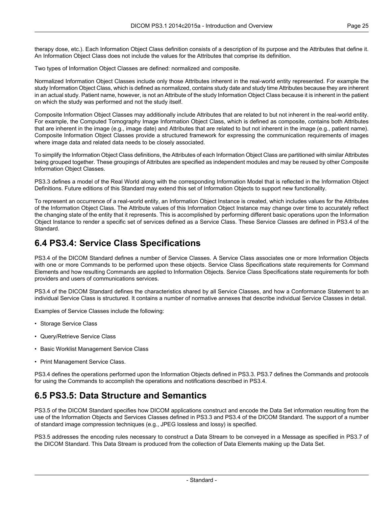therapy dose, etc.). Each Information Object Class definition consists of a description of its purpose and the Attributes that define it. An Information Object Class does not include the values for the Attributes that comprise its definition.

Two types of Information Object Classes are defined: normalized and composite.

Normalized Information Object Classes include only those Attributes inherent in the real-world entity represented. For example the study Information Object Class, which is defined as normalized, contains study date and study time Attributes because they are inherent in an actual study. Patient name, however, is not an Attribute of the study Information Object Class because it is inherent in the patient on which the study was performed and not the study itself.

Composite Information Object Classes may additionally include Attributes that are related to but not inherent in the real-world entity. For example, the Computed Tomography Image Information Object Class, which is defined as composite, contains both Attributes that are inherent in the image (e.g., image date) and Attributes that are related to but not inherent in the image (e.g., patient name). Composite Information Object Classes provide a structured framework for expressing the communication requirements of images where image data and related data needs to be closely associated.

To simplify the Information Object Class definitions, the Attributes of each Information Object Class are partitioned with similar Attributes being grouped together. These groupings of Attributes are specified as independent modules and may be reused by other Composite Information Object Classes.

[PS3.3](part03.pdf#PS3.3) defines a model of the Real World along with the corresponding Information Model that is reflected in the Information Object Definitions. Future editions of this Standard may extend this set of Information Objects to support new functionality.

<span id="page-24-0"></span>To represent an occurrence of a real-world entity, an Information Object Instance is created, which includes values for the Attributes of the Information Object Class. The Attribute values of this Information Object Instance may change over time to accurately reflect the changing state of the entity that it represents. This is accomplished by performing different basic operations upon the Information Object Instance to render a specific set of services defined as a Service Class. These Service Classes are defined in [PS3.4](part04.pdf#PS3.4) of the Standard.

#### **6.4 PS3.4: Service Class Specifications**

[PS3.4](part04.pdf#PS3.4) of the DICOM Standard defines a number of Service Classes. A Service Class associates one or more Information Objects with one or more Commands to be performed upon these objects. Service Class Specifications state requirements for Command Elements and how resulting Commands are applied to Information Objects. Service Class Specifications state requirements for both providers and users of communications services.

[PS3.4](part04.pdf#PS3.4) of the DICOM Standard defines the characteristics shared by all Service Classes, and how a Conformance Statement to an individual Service Class is structured. It contains a number of normative annexes that describe individual Service Classes in detail.

Examples of Service Classes include the following:

- Storage Service Class
- Query/Retrieve Service Class
- <span id="page-24-1"></span>• Basic Worklist Management Service Class
- Print Management Service Class.

[PS3.4](part04.pdf#PS3.4) defines the operations performed upon the Information Objects defined in [PS3.3.](part03.pdf#PS3.3) [PS3.7](part07.pdf#PS3.7) defines the Commands and protocols for using the Commands to accomplish the operations and notifications described in [PS3.4](part04.pdf#PS3.4).

#### **6.5 PS3.5: Data Structure and Semantics**

[PS3.5](part05.pdf#PS3.5) of the DICOM Standard specifies how DICOM applications construct and encode the Data Set information resulting from the use of the Information Objects and Services Classes defined in [PS3.3](part03.pdf#PS3.3) and [PS3.4](part04.pdf#PS3.4) of the DICOM Standard. The support of a number of standard image compression techniques (e.g., JPEG lossless and lossy) is specified.

[PS3.5](part05.pdf#PS3.5) addresses the encoding rules necessary to construct a Data Stream to be conveyed in a Message as specified in [PS3.7](part07.pdf#PS3.7) of the DICOM Standard. This Data Stream is produced from the collection of Data Elements making up the Data Set.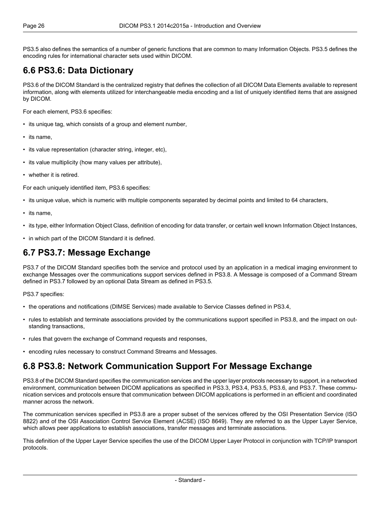<span id="page-25-0"></span>[PS3.5](part05.pdf#PS3.5) also defines the semantics of a number of generic functions that are common to many Information Objects. [PS3.5](part05.pdf#PS3.5) defines the encoding rules for international character sets used within DICOM.

### **6.6 PS3.6: Data Dictionary**

[PS3.6](part06.pdf#PS3.6) of the DICOM Standard is the centralized registry that defines the collection of all DICOM Data Elements available to represent information, along with elements utilized for interchangeable media encoding and a list of uniquely identified items that are assigned by DICOM.

For each element, [PS3.6](part06.pdf#PS3.6) specifies:

- its unique tag, which consists of a group and element number,
- its name,
- its value representation (character string, integer, etc),
- its value multiplicity (how many values per attribute),
- whether it is retired.

For each uniquely identified item, [PS3.6](part06.pdf#PS3.6) specifies:

- its unique value, which is numeric with multiple components separated by decimal points and limited to 64 characters,
- its name,
- <span id="page-25-1"></span>• its type, either Information Object Class, definition of encoding for data transfer, or certain well known Information Object Instances,
- in which part of the DICOM Standard it is defined.

#### **6.7 PS3.7: Message Exchange**

[PS3.7](part07.pdf#PS3.7) of the DICOM Standard specifies both the service and protocol used by an application in a medical imaging environment to exchange Messages over the communications support services defined in [PS3.8.](part08.pdf#PS3.8) A Message is composed of a Command Stream defined in [PS3.7](part07.pdf#PS3.7) followed by an optional Data Stream as defined in [PS3.5](part05.pdf#PS3.5).

[PS3.7](part07.pdf#PS3.7) specifies:

- the operations and notifications (DIMSE Services) made available to Service Classes defined in [PS3.4,](part04.pdf#PS3.4)
- <span id="page-25-2"></span>• rules to establish and terminate associations provided by the communications support specified in [PS3.8,](part08.pdf#PS3.8) and the impact on outstanding transactions,
- rules that govern the exchange of Command requests and responses,
- encoding rules necessary to construct Command Streams and Messages.

#### **6.8 PS3.8: Network Communication Support For Message Exchange**

[PS3.8](part08.pdf#PS3.8) of the DICOM Standard specifies the communication services and the upper layer protocols necessary to support, in a networked environment, communication between DICOM applications as specified in [PS3.3](part03.pdf#PS3.3), [PS3.4,](part04.pdf#PS3.4) [PS3.5](part05.pdf#PS3.5), [PS3.6,](part06.pdf#PS3.6) and [PS3.7.](part07.pdf#PS3.7) These communication services and protocols ensure that communication between DICOM applications is performed in an efficient and coordinated manner across the network.

The communication services specified in [PS3.8](part08.pdf#PS3.8) are a proper subset of the services offered by the OSI Presentation Service (ISO 8822) and of the OSI Association Control Service Element (ACSE) (ISO 8649). They are referred to as the Upper Layer Service, which allows peer applications to establish associations, transfer messages and terminate associations.

This definition of the Upper Layer Service specifies the use of the DICOM Upper Layer Protocol in conjunction with TCP/IP transport protocols.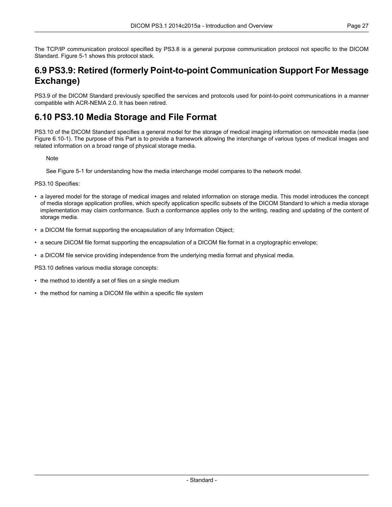<span id="page-26-0"></span>The TCP/IP communication protocol specified by [PS3.8](part08.pdf#PS3.8) is a general purpose communication protocol not specific to the DICOM Standard. [Figure](#page-21-0) 5-1 shows this protocol stack.

#### **6.9 PS3.9: Retired (formerly Point-to-point Communication Support For Message Exchange)**

<span id="page-26-1"></span>PS3.9 of the DICOM Standard previously specified the services and protocols used for point-to-point communications in a manner compatible with ACR-NEMA 2.0. It has been retired.

#### **6.10 PS3.10 Media Storage and File Format**

[PS3.10](part10.pdf#PS3.10) of the DICOM Standard specifies a general model for the storage of medical imaging information on removable media (see Figure [6.10-1\)](#page-27-1). The purpose of this Part is to provide a framework allowing the interchange of various types of medical images and related information on a broad range of physical storage media.

**Note** 

See [Figure](#page-21-0) 5-1 for understanding how the media interchange model compares to the network model.

[PS3.10](part10.pdf#PS3.10) Specifies:

- a layered model for the storage of medical images and related information on storage media. This model introduces the concept of media storage application profiles, which specify application specific subsets of the DICOM Standard to which a media storage implementation may claim conformance. Such a conformance applies only to the writing, reading and updating of the content of storage media.
- a DICOM file format supporting the encapsulation of any Information Object;
- a secure DICOM file format supporting the encapsulation of a DICOM file format in a cryptographic envelope;
- a DICOM file service providing independence from the underlying media format and physical media.

[PS3.10](part10.pdf#PS3.10) defines various media storage concepts:

- the method to identify a set of files on a single medium
- the method for naming a DICOM file within a specific file system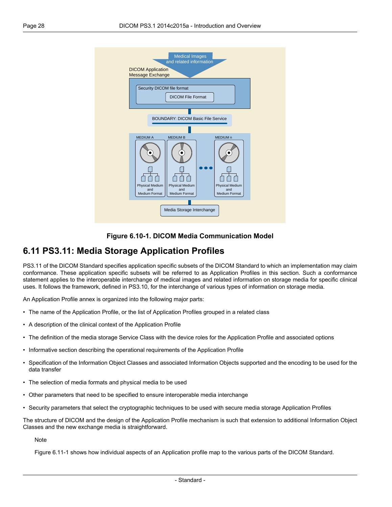<span id="page-27-1"></span>



#### <span id="page-27-0"></span>**6.11 PS3.11: Media Storage Application Profiles**

[PS3.11](part11.pdf#PS3.11) of the DICOM Standard specifies application specific subsets of the DICOM Standard to which an implementation may claim conformance. These application specific subsets will be referred to as Application Profiles in this section. Such a conformance statement applies to the interoperable interchange of medical images and related information on storage media for specific clinical uses. It follows the framework, defined in [PS3.10](part10.pdf#PS3.10), for the interchange of various types of information on storage media.

An Application Profile annex is organized into the following major parts:

- The name of the Application Profile, or the list of Application Profiles grouped in a related class
- A description of the clinical context of the Application Profile
- The definition of the media storage Service Class with the device roles for the Application Profile and associated options
- Informative section describing the operational requirements of the Application Profile
- Specification of the Information Object Classes and associated Information Objects supported and the encoding to be used for the data transfer
- The selection of media formats and physical media to be used
- Other parameters that need to be specified to ensure interoperable media interchange
- Security parameters that select the cryptographic techniques to be used with secure media storage Application Profiles

The structure of DICOM and the design of the Application Profile mechanism is such that extension to additional Information Object Classes and the new exchange media is straightforward.

**Note** 

[Figure](#page-28-4) 6.11-1 shows how individual aspects of an Application profile map to the various parts of the DICOM Standard.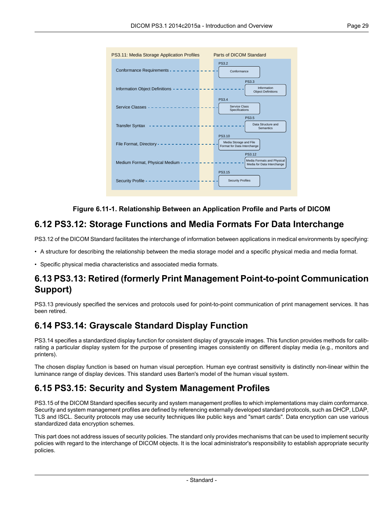<span id="page-28-4"></span>

#### **Figure 6.11-1. Relationship Between an Application Profile and Parts of DICOM**

#### <span id="page-28-0"></span>**6.12 PS3.12: Storage Functions and Media Formats For Data Interchange**

[PS3.12](part12.pdf#PS3.12) of the DICOM Standard facilitates the interchange of information between applications in medical environments by specifying:

<span id="page-28-1"></span>• A structure for describing the relationship between the media storage model and a specific physical media and media format.

• Specific physical media characteristics and associated media formats.

#### <span id="page-28-2"></span>**6.13 PS3.13: Retired (formerly Print Management Point-to-point Communication Support)**

PS3.13 previously specified the services and protocols used for point-to-point communication of print management services. It has been retired.

#### **6.14 PS3.14: Grayscale Standard Display Function**

<span id="page-28-3"></span>[PS3.14](part14.pdf#PS3.14) specifies a standardized display function for consistent display of grayscale images. This function provides methods for calibrating a particular display system for the purpose of presenting images consistently on different display media (e.g., monitors and printers).

The chosen display function is based on human visual perception. Human eye contrast sensitivity is distinctly non-linear within the luminance range of display devices. This standard uses Barten's model of the human visual system.

#### **6.15 PS3.15: Security and System Management Profiles**

[PS3.15](part15.pdf#PS3.15) of the DICOM Standard specifies security and system management profiles to which implementations may claim conformance. Security and system management profiles are defined by referencing externally developed standard protocols, such as DHCP, LDAP, TLS and ISCL. Security protocols may use security techniques like public keys and "smart cards". Data encryption can use various standardized data encryption schemes.

This part does not address issues of security policies. The standard only provides mechanisms that can be used to implement security policies with regard to the interchange of DICOM objects. It is the local administrator's responsibility to establish appropriate security policies.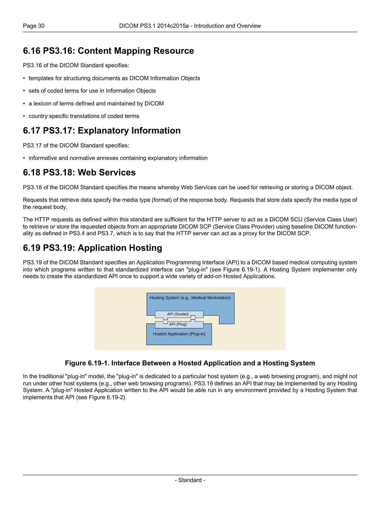#### <span id="page-29-0"></span>**6.16 PS3.16: Content Mapping Resource**

[PS3.16](part16.pdf#PS3.16) of the DICOM Standard specifies:

- templates for structuring documents as DICOM Information Objects
- sets of coded terms for use in Information Objects
- a lexicon of terms defined and maintained by DICOM
- <span id="page-29-1"></span>• country specific translations of coded terms

#### **6.17 PS3.17: Explanatory Information**

<span id="page-29-2"></span>[PS3.17](part17.pdf#PS3.17) of the DICOM Standard specifies:

• informative and normative annexes containing explanatory information

#### **6.18 PS3.18: Web Services**

[PS3.18](part18.pdf#PS3.18) of the DICOM Standard specifies the means whereby Web Services can be used for retrieving or storing a DICOM object.

Requests that retrieve data specify the media type (format) of the response body. Requests that store data specify the media type of the request body.

<span id="page-29-3"></span>The HTTP requests as defined within this standard are sufficient for the HTTP server to act as a DICOM SCU (Service Class User) to retrieve or store the requested objects from an appropriate DICOM SCP (Service Class Provider) using baseline DICOM functionality as defined in [PS3.4](part04.pdf#PS3.4) and [PS3.7,](part07.pdf#PS3.7) which is to say that the HTTP server can act as a proxy for the DICOM SCP.

#### **6.19 PS3.19: Application Hosting**

<span id="page-29-4"></span>[PS3.19](part19.pdf#PS3.19) of the DICOM Standard specifies an Application Programming Interface (API) to a DICOM based medical computing system into which programs written to that standardized interface can "plug-in" (see [Figure](#page-29-4) 6.19-1). A Hosting System implementer only needs to create the standardized API once to support a wide variety of add-on Hosted Applications.



#### **Figure 6.19-1. Interface Between a Hosted Application and a Hosting System**

In the traditional "plug-in" model, the "plug-in" is dedicated to a particular host system (e.g., a web browsing program), and might not run under other host systems (e.g., other web browsing programs). [PS3.19](part19.pdf#PS3.19) defines an API that may be implemented by any Hosting System. A "plug-in" Hosted Application written to the API would be able run in any environment provided by a Hosting System that implements that API (see [Figure](#page-30-1) 6.19-2).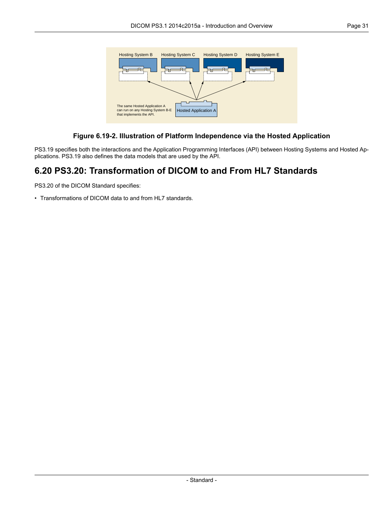<span id="page-30-1"></span>

#### **Figure 6.19-2. Illustration of Platform Independence via the Hosted Application**

<span id="page-30-0"></span>[PS3.19](part19.pdf#PS3.19) specifies both the interactions and the Application Programming Interfaces (API) between Hosting Systems and Hosted Applications. [PS3.19](part19.pdf#PS3.19) also defines the data models that are used by the API.

#### **6.20 PS3.20: Transformation of DICOM to and From HL7 Standards**

[PS3.20](part20.pdf#PS3.20) of the DICOM Standard specifies:

• Transformations of DICOM data to and from HL7 standards.